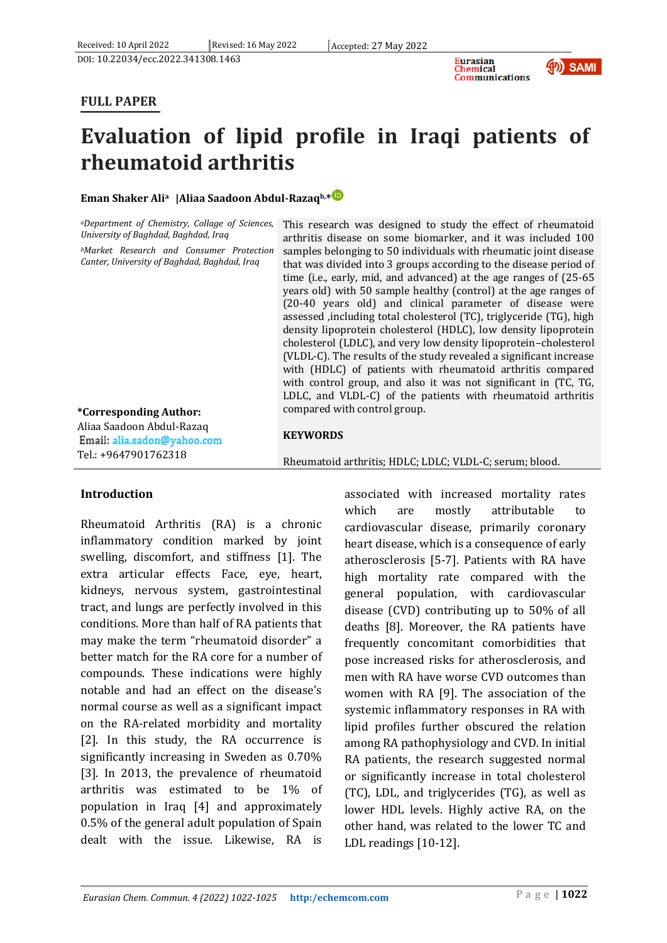



# **FULL PAPER**

# **Evaluation of lipid profile in Iraqi patients of rheumatoid arthritis**

# **Eman Shaker Alia |Aliaa Saadoon Abdul-Razaqb,\***

| <i>aDepartment of Chemistry, Collage of Sciences</i> , This |  |  |  |  |  |
|-------------------------------------------------------------|--|--|--|--|--|
| University of Baghdad, Baghdad, Iraq                        |  |  |  |  |  |
| $\cdots$                                                    |  |  |  |  |  |

*<sup>b</sup>Market Research and Consumer Protection Canter, University of Baghdad, Baghdad, Iraq*

research was designed to study the effect of rheumatoid itis disease on some biomarker, and it was included 100 samples belonging to 50 individuals with rheumatic joint disease that was divided into 3 groups according to the disease period of time (i.e., early, mid, and advanced) at the age ranges of (25-65 years old) with 50 sample healthy (control) at the age ranges of (20-40 years old) and clinical parameter of disease were assessed ,including total cholesterol (TC), triglyceride (TG), high density lipoprotein cholesterol (HDLC), low density lipoprotein cholesterol (LDLC), and very low density lipoprotein–cholesterol (VLDL-C). The results of the study revealed a significant increase with (HDLC) of patients with rheumatoid arthritis compared with control group, and also it was not significant in (TC, TG, LDLC, and VLDL-C) of the patients with rheumatoid arthritis compared with control group.

#### Aliaa Saadoon Abdul-Razaq **KEYWORDS**

Email: alia.sadon@yahoo.com Tel.: +9647901762318

**\*Corresponding Author:**

Rheumatoid arthritis; HDLC; LDLC; VLDL-C; serum; blood.

# **Introduction**

Rheumatoid Arthritis (RA) is a chronic inflammatory condition marked by joint swelling, discomfort, and stiffness [1]. The extra articular effects Face, eye, heart, kidneys, nervous system, gastrointestinal tract, and lungs are perfectly involved in this conditions. More than half of RA patients that may make the term "rheumatoid disorder" a better match for the RA core for a number of compounds. These indications were highly notable and had an effect on the disease's normal course as well as a significant impact on the RA-related morbidity and mortality [2]. In this study, the RA occurrence is significantly increasing in Sweden as 0.70% [3]. In 2013, the prevalence of rheumatoid arthritis was estimated to be 1% of population in Iraq [4] and approximately 0.5% of the general adult population of Spain dealt with the issue. Likewise, RA is

associated with increased mortality rates which are mostly attributable to cardiovascular disease, primarily coronary heart disease, which is a consequence of early atherosclerosis [5-7]. Patients with RA have high mortality rate compared with the general population, with cardiovascular disease (CVD) contributing up to 50% of all deaths [8]. Moreover, the RA patients have frequently concomitant comorbidities that pose increased risks for atherosclerosis, and men with RA have worse CVD outcomes than women with RA [9]. The association of the systemic inflammatory responses in RA with lipid profiles further obscured the relation among RA pathophysiology and CVD. In initial RA patients, the research suggested normal or significantly increase in total cholesterol (TC), LDL, and triglycerides (TG), as well as lower HDL levels. Highly active RA, on the other hand, was related to the lower TC and LDL readings [10-12].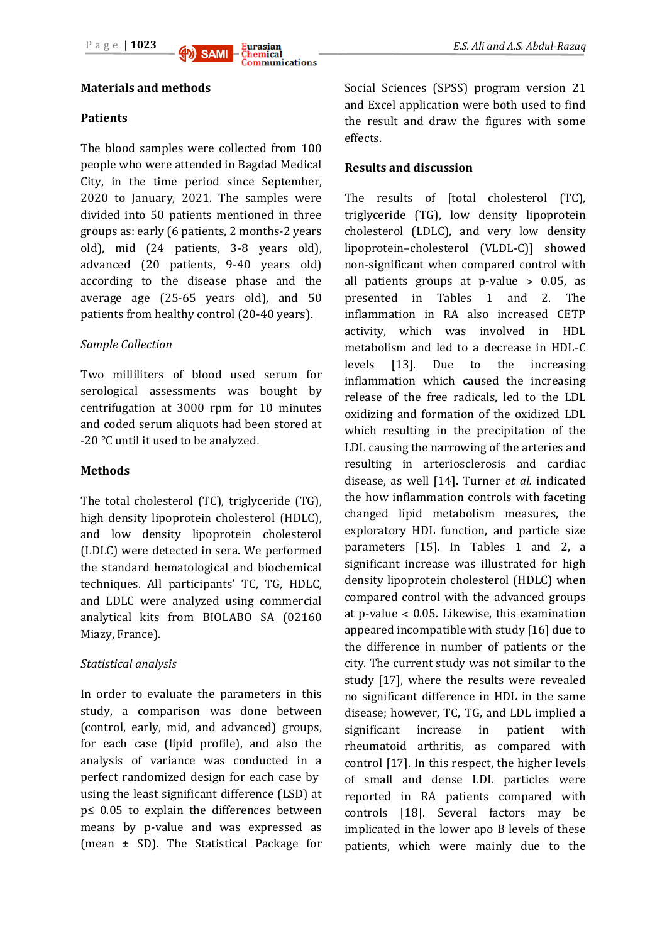

#### **Materials and methods**

#### **Patients**

The blood samples were collected from 100 people who were attended in Bagdad Medical City, in the time period since September, 2020 to January, 2021. The samples were divided into 50 patients mentioned in three groups as: early (6 patients, 2 months-2 years old), mid (24 patients, 3-8 years old), advanced (20 patients, 9-40 years old) according to the disease phase and the average age (25-65 years old), and 50 patients from healthy control (20-40 years).

#### *Sample Collection*

Two milliliters of blood used serum for serological assessments was bought by centrifugation at 3000 rpm for 10 minutes and coded serum aliquots had been stored at -20 ℃ until it used to be analyzed.

#### **Methods**

The total cholesterol (TC), triglyceride (TG), high density lipoprotein cholesterol (HDLC), and low density lipoprotein cholesterol (LDLC) were detected in sera. We performed the standard hematological and biochemical techniques. All participants' TC, TG, HDLC, and LDLC were analyzed using commercial analytical kits from BIOLABO SA (02160 Miazy, France).

# *Statistical analysis*

In order to evaluate the parameters in this study, a comparison was done between (control, early, mid, and advanced) groups, for each case (lipid profile), and also the analysis of variance was conducted in a perfect randomized design for each case by using the least significant difference (LSD) at p≤ 0.05 to explain the differences between means by p-value and was expressed as (mean ± SD). The Statistical Package for

Social Sciences (SPSS) program version 21 and Excel application were both used to find the result and draw the figures with some effects.

#### **Results and discussion**

The results of [total cholesterol (TC), triglyceride (TG), low density lipoprotein cholesterol (LDLC), and very low density lipoprotein–cholesterol (VLDL-C)] showed non-significant when compared control with all patients groups at p-value  $> 0.05$ , as presented in Tables 1 and 2. The inflammation in RA also increased CETP activity, which was involved in HDL metabolism and led to a decrease in HDL-C levels [13]. Due to the increasing inflammation which caused the increasing release of the free radicals, led to the LDL oxidizing and formation of the oxidized LDL which resulting in the precipitation of the LDL causing the narrowing of the arteries and resulting in arteriosclerosis and cardiac disease, as well [14]. Turner *et al.* indicated the how inflammation controls with faceting changed lipid metabolism measures, the exploratory HDL function, and particle size parameters [15]. In Tables 1 and 2, a significant increase was illustrated for high density lipoprotein cholesterol (HDLC) when compared control with the advanced groups at p-value ˂ 0.05. Likewise, this examination appeared incompatible with study [16] due to the difference in number of patients or the city. The current study was not similar to the study [17], where the results were revealed no significant difference in HDL in the same disease; however, TC, TG, and LDL implied a significant increase in patient with rheumatoid arthritis, as compared with control [17]. In this respect, the higher levels of small and dense LDL particles were reported in RA patients compared with controls [18]. Several factors may be implicated in the lower apo B levels of these patients, which were mainly due to the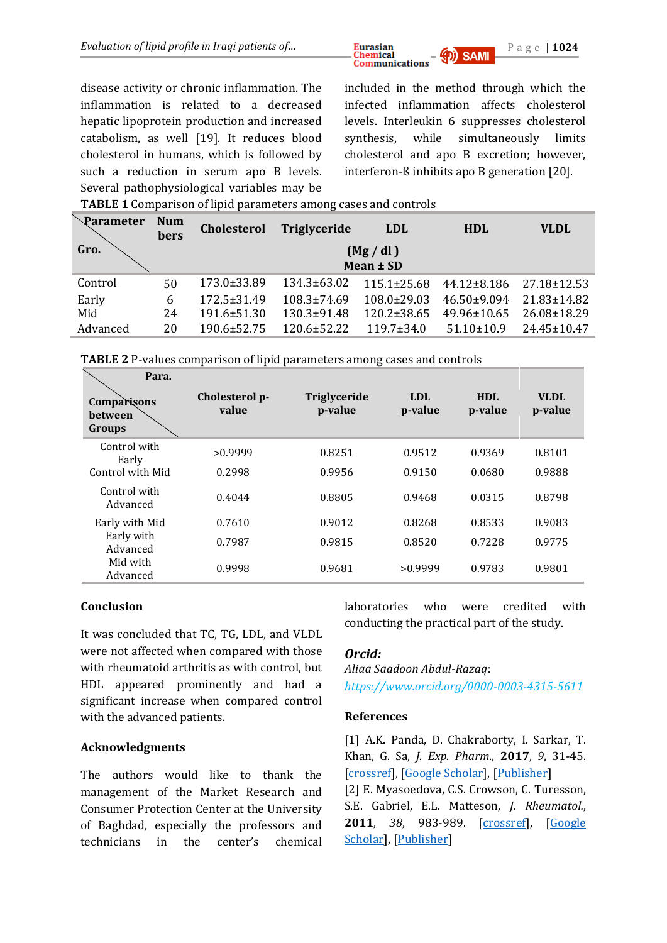

disease activity or chronic inflammation. The inflammation is related to a decreased hepatic lipoprotein production and increased catabolism, as well [19]. It reduces blood cholesterol in humans, which is followed by such a reduction in serum apo B levels. Several pathophysiological variables may be

included in the method through which the infected inflammation affects cholesterol levels. Interleukin 6 suppresses cholesterol synthesis, while simultaneously limits cholesterol and apo B excretion; however, interferon-ß inhibits apo B generation [20].

**TABLE 1** Comparison of lipid parameters among cases and controls

| Parameter | <b>Num</b><br>bers | <b>Cholesterol</b> | Triglyceride         | <b>LDL</b>        | <b>HDL</b>      | <b>VLDL</b>       |  |
|-----------|--------------------|--------------------|----------------------|-------------------|-----------------|-------------------|--|
| Gro.      |                    |                    | (Mg/dl)<br>Mean ± SD |                   |                 |                   |  |
| Control   | 50                 | 173.0±33.89        | 134.3±63.02          | $115.1 \pm 25.68$ | 44.12±8.186     | 27.18±12.53       |  |
| Early     | 6                  | $172.5 \pm 31.49$  | $108.3 \pm 74.69$    | $108.0\pm29.03$   | $46.50\pm9.094$ | $21.83 \pm 14.82$ |  |
| Mid       | 24                 | $191.6 \pm 51.30$  | $130.3 \pm 91.48$    | $120.2 \pm 38.65$ | 49.96±10.65     | 26.08±18.29       |  |
| Advanced  | 20                 | $190.6 \pm 52.75$  | $120.6 \pm 52.22$    | $119.7 \pm 34.0$  | $51.10\pm10.9$  | $24.45 \pm 10.47$ |  |

| <b>TABLE 2</b> P-values comparison of lipid parameters among cases and controls |       |  |  |   |  |  |           |
|---------------------------------------------------------------------------------|-------|--|--|---|--|--|-----------|
|                                                                                 | Para. |  |  |   |  |  |           |
|                                                                                 |       |  |  | . |  |  | $- - - -$ |

| Comparisons<br><b>between</b><br>Groups | Cholesterol p-<br>value | Triglyceride<br>p-value | LDL<br>p-value | HDI.<br>p-value | <b>VLDL</b><br>p-value |
|-----------------------------------------|-------------------------|-------------------------|----------------|-----------------|------------------------|
| Control with<br>Early                   | >0.9999                 | 0.8251                  | 0.9512         | 0.9369          | 0.8101                 |
| Control with Mid                        | 0.2998                  | 0.9956                  | 0.9150         | 0.0680          | 0.9888                 |
| Control with<br>Advanced                | 0.4044                  | 0.8805                  | 0.9468         | 0.0315          | 0.8798                 |
| Early with Mid                          | 0.7610                  | 0.9012                  | 0.8268         | 0.8533          | 0.9083                 |
| Early with<br>Advanced                  | 0.7987                  | 0.9815                  | 0.8520         | 0.7228          | 0.9775                 |
| Mid with<br>Advanced                    | 0.9998                  | 0.9681                  | >0.9999        | 0.9783          | 0.9801                 |

# **Conclusion**

It was concluded that TC, TG, LDL, and VLDL were not affected when compared with those with rheumatoid arthritis as with control, but HDL appeared prominently and had a significant increase when compared control with the advanced patients.

# **Acknowledgments**

The authors would like to thank the management of the Market Research and Consumer Protection Center at the University of Baghdad, especially the professors and technicians in the center's chemical

laboratories who were credited with conducting the practical part of the study.

# *Orcid:*

*Aliaa Saadoon Abdul-Razaq*: *<https://www.orcid.org/0000-0003-4315-5611>*

# **References**

[1] A.K. Panda, D. Chakraborty, I. Sarkar, T. Khan, G. Sa, *J. Exp. Pharm*., **2017**, *9*, 31-45. [\[crossref\]](https://doi.org/10.2147%2FJEP.S70568), [\[Google Scholar\]](https://scholar.google.com/scholar?hl=de&as_sdt=0%2C5&q=New+insights+into+therapeutic+activity+and+anticancer+properties+of+curcumin&btnG=), [\[Publisher\]](https://www.dovepress.com/new-insights-into-therapeutic-activity-and-anticancer-properties-of-cu-peer-reviewed-fulltext-article-JEP) [2] E. Myasoedova, C.S. Crowson, C. Turesson,

S.E. Gabriel, E.L. Matteson, *J. Rheumatol.*, **2011**, *38*, 983-989. [\[crossref\]](https://doi.org/10.3899/jrheum.101133), [\[Google](https://scholar.google.com/scholar?hl=de&as_sdt=0%2C5&q=Incidence+of+Extraarticular+Rheumatoid+Arthritis+in+Olmsted+County%2C+Minnesota%2C+in+1995%E2%80%932007+Versus+1985%E2%80%931994%3A+A+Population-based+Study&btnG=)  [Scholar\]](https://scholar.google.com/scholar?hl=de&as_sdt=0%2C5&q=Incidence+of+Extraarticular+Rheumatoid+Arthritis+in+Olmsted+County%2C+Minnesota%2C+in+1995%E2%80%932007+Versus+1985%E2%80%931994%3A+A+Population-based+Study&btnG=), [\[Publisher\]](https://www.jrheum.org/content/38/6/983)